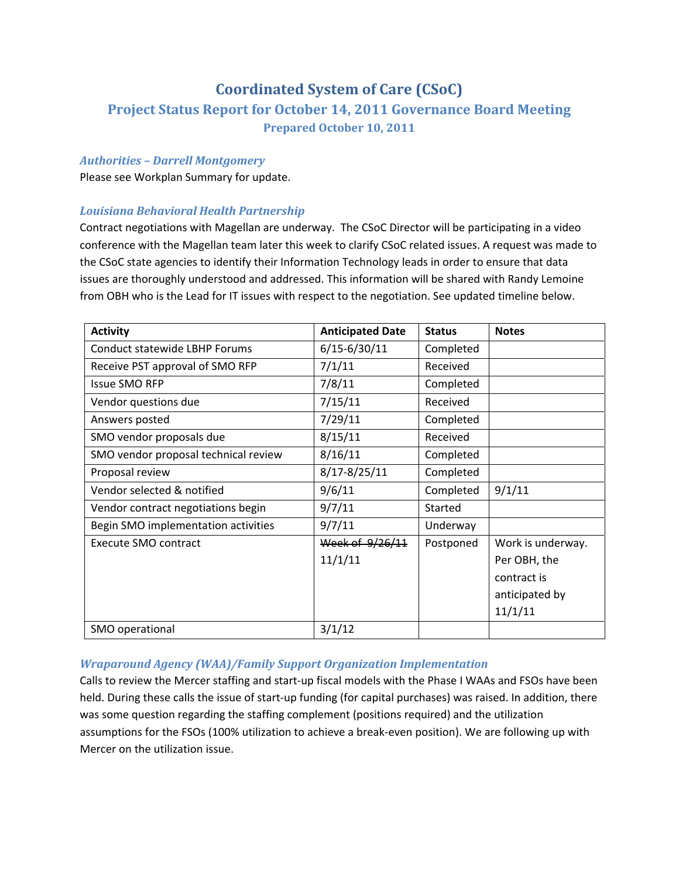# **Coordinated System of Care (CSoC) Project Status Report for October 14, 2011 Governance Board Meeting Prepared October 10, 2011**

### *Authorities – Darrell Montgomery*

Please see Workplan Summary for update.

# *Louisiana Behavioral Health Partnership*

Contract negotiations with Magellan are underway. The CSoC Director will be participating in a video conference with the Magellan team later this week to clarify CSoC related issues. A request was made to the CSoC state agencies to identify their Information Technology leads in order to ensure that data issues are thoroughly understood and addressed. This information will be shared with Randy Lemoine from OBH who is the Lead for IT issues with respect to the negotiation. See updated timeline below.

| <b>Activity</b>                      | <b>Anticipated Date</b> | <b>Status</b>  | <b>Notes</b>      |
|--------------------------------------|-------------------------|----------------|-------------------|
| Conduct statewide LBHP Forums        | $6/15 - 6/30/11$        | Completed      |                   |
| Receive PST approval of SMO RFP      | 7/1/11                  | Received       |                   |
| <b>Issue SMO RFP</b>                 | 7/8/11                  | Completed      |                   |
| Vendor questions due                 | 7/15/11                 | Received       |                   |
| Answers posted                       | 7/29/11                 | Completed      |                   |
| SMO vendor proposals due             | 8/15/11                 | Received       |                   |
| SMO vendor proposal technical review | 8/16/11                 | Completed      |                   |
| Proposal review                      | $8/17 - 8/25/11$        | Completed      |                   |
| Vendor selected & notified           | 9/6/11                  | Completed      | 9/1/11            |
| Vendor contract negotiations begin   | 9/7/11                  | <b>Started</b> |                   |
| Begin SMO implementation activities  | 9/7/11                  | Underway       |                   |
| Execute SMO contract                 | Week of 9/26/11         | Postponed      | Work is underway. |
|                                      | 11/1/11                 |                | Per OBH, the      |
|                                      |                         |                | contract is       |
|                                      |                         |                | anticipated by    |
|                                      |                         |                | 11/1/11           |
| SMO operational                      | 3/1/12                  |                |                   |

# *Wraparound Agency (WAA)/Family Support Organization Implementation*

Calls to review the Mercer staffing and start-up fiscal models with the Phase I WAAs and FSOs have been held. During these calls the issue of start‐up funding (for capital purchases) was raised. In addition, there was some question regarding the staffing complement (positions required) and the utilization assumptions for the FSOs (100% utilization to achieve a break‐even position). We are following up with Mercer on the utilization issue.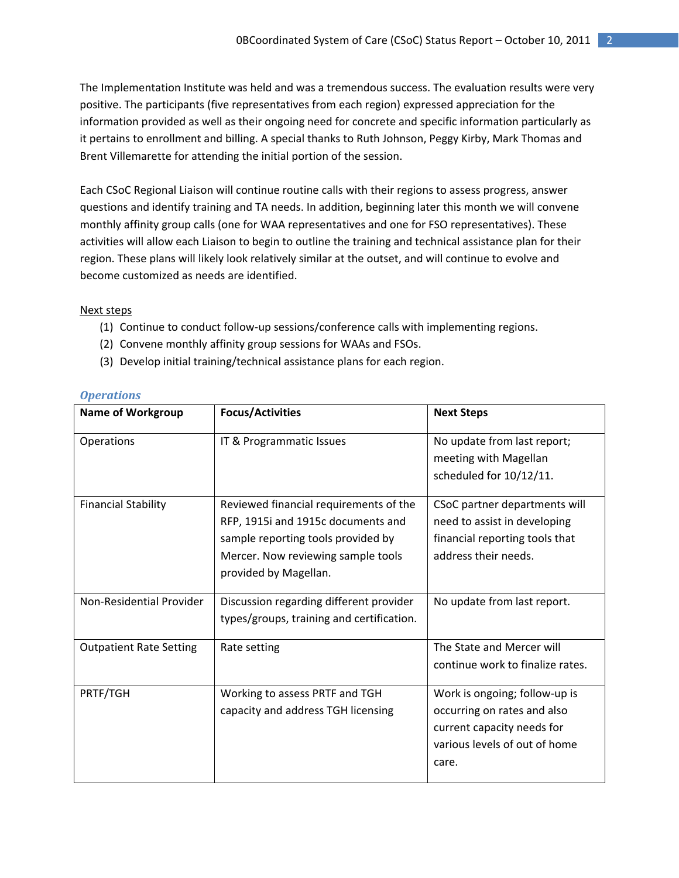The Implementation Institute was held and was a tremendous success. The evaluation results were very positive. The participants (five representatives from each region) expressed appreciation for the information provided as well as their ongoing need for concrete and specific information particularly as it pertains to enrollment and billing. A special thanks to Ruth Johnson, Peggy Kirby, Mark Thomas and Brent Villemarette for attending the initial portion of the session.

Each CSoC Regional Liaison will continue routine calls with their regions to assess progress, answer questions and identify training and TA needs. In addition, beginning later this month we will convene monthly affinity group calls (one for WAA representatives and one for FSO representatives). These activities will allow each Liaison to begin to outline the training and technical assistance plan for their region. These plans will likely look relatively similar at the outset, and will continue to evolve and become customized as needs are identified.

#### Next steps

- (1) Continue to conduct follow‐up sessions/conference calls with implementing regions.
- (2) Convene monthly affinity group sessions for WAAs and FSOs.
- (3) Develop initial training/technical assistance plans for each region.

| <b>Name of Workgroup</b>       | <b>Focus/Activities</b>                                                                                                                                                           | <b>Next Steps</b>                                                                                                                    |
|--------------------------------|-----------------------------------------------------------------------------------------------------------------------------------------------------------------------------------|--------------------------------------------------------------------------------------------------------------------------------------|
| Operations                     | IT & Programmatic Issues                                                                                                                                                          | No update from last report;<br>meeting with Magellan<br>scheduled for 10/12/11.                                                      |
| <b>Financial Stability</b>     | Reviewed financial requirements of the<br>RFP, 1915i and 1915c documents and<br>sample reporting tools provided by<br>Mercer. Now reviewing sample tools<br>provided by Magellan. | CSoC partner departments will<br>need to assist in developing<br>financial reporting tools that<br>address their needs.              |
| Non-Residential Provider       | Discussion regarding different provider<br>types/groups, training and certification.                                                                                              | No update from last report.                                                                                                          |
| <b>Outpatient Rate Setting</b> | Rate setting                                                                                                                                                                      | The State and Mercer will<br>continue work to finalize rates.                                                                        |
| PRTF/TGH                       | Working to assess PRTF and TGH<br>capacity and address TGH licensing                                                                                                              | Work is ongoing; follow-up is<br>occurring on rates and also<br>current capacity needs for<br>various levels of out of home<br>care. |

#### *Operations*